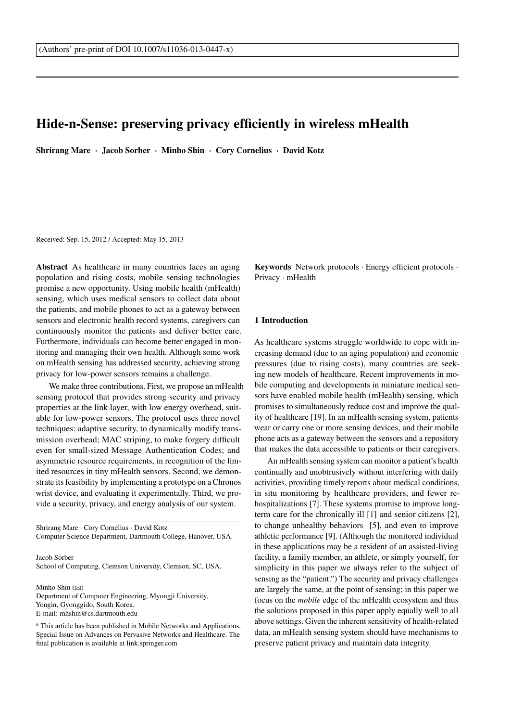# Hide-n-Sense: preserving privacy efficiently in wireless mHealth

Shrirang Mare · Jacob Sorber · Minho Shin · Cory Cornelius · David Kotz

Received: Sep. 15, 2012 / Accepted: May 15, 2013

Abstract As healthcare in many countries faces an aging population and rising costs, mobile sensing technologies promise a new opportunity. Using mobile health (mHealth) sensing, which uses medical sensors to collect data about the patients, and mobile phones to act as a gateway between sensors and electronic health record systems, caregivers can continuously monitor the patients and deliver better care. Furthermore, individuals can become better engaged in monitoring and managing their own health. Although some work on mHealth sensing has addressed security, achieving strong privacy for low-power sensors remains a challenge.

We make three contributions. First, we propose an mHealth sensing protocol that provides strong security and privacy properties at the link layer, with low energy overhead, suitable for low-power sensors. The protocol uses three novel techniques: adaptive security, to dynamically modify transmission overhead; MAC striping, to make forgery difficult even for small-sized Message Authentication Codes; and asymmetric resource requirements, in recognition of the limited resources in tiny mHealth sensors. Second, we demonstrate its feasibility by implementing a prototype on a Chronos wrist device, and evaluating it experimentally. Third, we provide a security, privacy, and energy analysis of our system.

Shrirang Mare · Cory Cornelius · David Kotz Computer Science Department, Dartmouth College, Hanover, USA.

Jacob Sorber School of Computing, Clemson University, Clemson, SC, USA.

Minho Shin  $(\boxtimes)$ Department of Computer Engineering, Myongji University, Yongin, Gyonggido, South Korea. E-mail: mhshin@cs.dartmouth.edu

\* This article has been published in Mobile Networks and Applications, Special Issue on Advances on Pervasive Networks and Healthcare. The final publication is available at link.springer.com

Keywords Network protocols · Energy efficient protocols · Privacy · mHealth

## 1 Introduction

As healthcare systems struggle worldwide to cope with increasing demand (due to an aging population) and economic pressures (due to rising costs), many countries are seeking new models of healthcare. Recent improvements in mobile computing and developments in miniature medical sensors have enabled mobile health (mHealth) sensing, which promises to simultaneously reduce cost and improve the quality of healthcare [\[19\]](#page-12-0). In an mHealth sensing system, patients wear or carry one or more sensing devices, and their mobile phone acts as a gateway between the sensors and a repository that makes the data accessible to patients or their caregivers.

An mHealth sensing system can monitor a patient's health continually and unobtrusively without interfering with daily activities, providing timely reports about medical conditions, in situ monitoring by healthcare providers, and fewer re-hospitalizations [\[7\]](#page-12-1). These systems promise to improve longterm care for the chronically ill [\[1\]](#page-12-2) and senior citizens [\[2\]](#page-12-3), to change unhealthy behaviors [\[5\]](#page-12-4), and even to improve athletic performance [\[9\]](#page-12-5). (Although the monitored individual in these applications may be a resident of an assisted-living facility, a family member, an athlete, or simply yourself, for simplicity in this paper we always refer to the subject of sensing as the "patient.") The security and privacy challenges are largely the same, at the point of sensing; in this paper we focus on the *mobile* edge of the mHealth ecosystem and thus the solutions proposed in this paper apply equally well to all above settings. Given the inherent sensitivity of health-related data, an mHealth sensing system should have mechanisms to preserve patient privacy and maintain data integrity.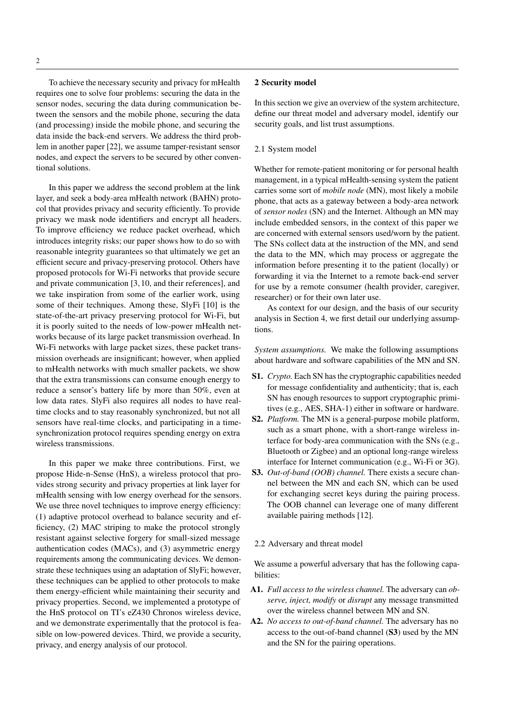To achieve the necessary security and privacy for mHealth requires one to solve four problems: securing the data in the sensor nodes, securing the data during communication between the sensors and the mobile phone, securing the data (and processing) inside the mobile phone, and securing the data inside the back-end servers. We address the third problem in another paper [\[22\]](#page-12-6), we assume tamper-resistant sensor nodes, and expect the servers to be secured by other conventional solutions.

In this paper we address the second problem at the link layer, and seek a body-area mHealth network (BAHN) protocol that provides privacy and security efficiently. To provide privacy we mask node identifiers and encrypt all headers. To improve efficiency we reduce packet overhead, which introduces integrity risks; our paper shows how to do so with reasonable integrity guarantees so that ultimately we get an efficient secure and privacy-preserving protocol. Others have proposed protocols for Wi-Fi networks that provide secure and private communication [\[3,](#page-12-7) [10,](#page-12-8) and their references], and we take inspiration from some of the earlier work, using some of their techniques. Among these, SlyFi [\[10\]](#page-12-8) is the state-of-the-art privacy preserving protocol for Wi-Fi, but it is poorly suited to the needs of low-power mHealth networks because of its large packet transmission overhead. In Wi-Fi networks with large packet sizes, these packet transmission overheads are insignificant; however, when applied to mHealth networks with much smaller packets, we show that the extra transmissions can consume enough energy to reduce a sensor's battery life by more than 50%, even at low data rates. SlyFi also requires all nodes to have realtime clocks and to stay reasonably synchronized, but not all sensors have real-time clocks, and participating in a timesynchronization protocol requires spending energy on extra wireless transmissions.

In this paper we make three contributions. First, we propose Hide-n-Sense (HnS), a wireless protocol that provides strong security and privacy properties at link layer for mHealth sensing with low energy overhead for the sensors. We use three novel techniques to improve energy efficiency: (1) adaptive protocol overhead to balance security and efficiency, (2) MAC striping to make the protocol strongly resistant against selective forgery for small-sized message authentication codes (MACs), and (3) asymmetric energy requirements among the communicating devices. We demonstrate these techniques using an adaptation of SlyFi; however, these techniques can be applied to other protocols to make them energy-efficient while maintaining their security and privacy properties. Second, we implemented a prototype of the HnS protocol on TI's eZ430 Chronos wireless device, and we demonstrate experimentally that the protocol is feasible on low-powered devices. Third, we provide a security, privacy, and energy analysis of our protocol.

## 2 Security model

In this section we give an overview of the system architecture, define our threat model and adversary model, identify our security goals, and list trust assumptions.

## 2.1 System model

Whether for remote-patient monitoring or for personal health management, in a typical mHealth-sensing system the patient carries some sort of *mobile node* (MN), most likely a mobile phone, that acts as a gateway between a body-area network of *sensor nodes* (SN) and the Internet. Although an MN may include embedded sensors, in the context of this paper we are concerned with external sensors used/worn by the patient. The SNs collect data at the instruction of the MN, and send the data to the MN, which may process or aggregate the information before presenting it to the patient (locally) or forwarding it via the Internet to a remote back-end server for use by a remote consumer (health provider, caregiver, researcher) or for their own later use.

As context for our design, and the basis of our security analysis in Section [4,](#page-6-0) we first detail our underlying assumptions.

*System assumptions.* We make the following assumptions about hardware and software capabilities of the MN and SN.

- S1. *Crypto.* Each SN has the cryptographic capabilities needed for message confidentiality and authenticity; that is, each SN has enough resources to support cryptographic primitives (e.g., AES, SHA-1) either in software or hardware.
- S2. *Platform.* The MN is a general-purpose mobile platform, such as a smart phone, with a short-range wireless interface for body-area communication with the SNs (e.g., Bluetooth or Zigbee) and an optional long-range wireless interface for Internet communication (e.g., Wi-Fi or 3G).
- <span id="page-1-0"></span>S3. *Out-of-band (OOB) channel.* There exists a secure channel between the MN and each SN, which can be used for exchanging secret keys during the pairing process. The OOB channel can leverage one of many different available pairing methods [\[12\]](#page-12-9).
- 2.2 Adversary and threat model

We assume a powerful adversary that has the following capabilities:

- <span id="page-1-1"></span>A1. *Full access to the wireless channel.* The adversary can *observe, inject, modify* or *disrupt* any message transmitted over the wireless channel between MN and SN.
- A2. *No access to out-of-band channel.* The adversary has no access to the out-of-band channel ([S3](#page-1-0)) used by the MN and the SN for the pairing operations.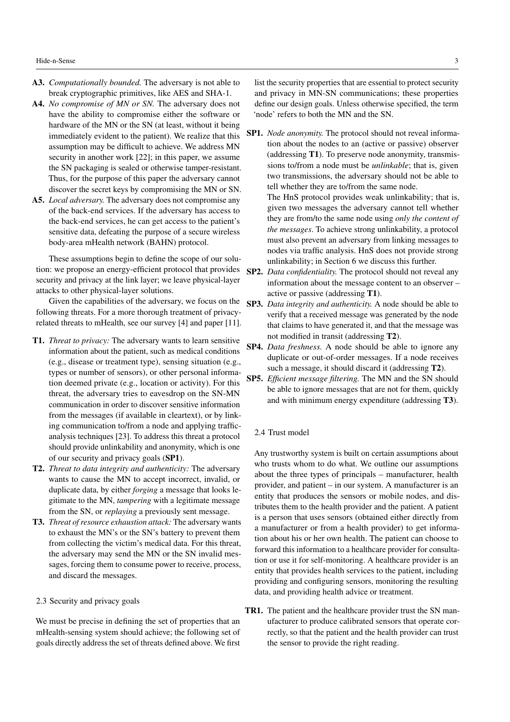- A3. *Computationally bounded.* The adversary is not able to break cryptographic primitives, like AES and SHA-1.
- A4. *No compromise of MN or SN.* The adversary does not have the ability to compromise either the software or hardware of the MN or the SN (at least, without it being immediately evident to the patient). We realize that this assumption may be difficult to achieve. We address MN security in another work [\[22\]](#page-12-6); in this paper, we assume the SN packaging is sealed or otherwise tamper-resistant. Thus, for the purpose of this paper the adversary cannot discover the secret keys by compromising the MN or SN.
- A5. *Local adversary.* The adversary does not compromise any of the back-end services. If the adversary has access to the back-end services, he can get access to the patient's sensitive data, defeating the purpose of a secure wireless body-area mHealth network (BAHN) protocol.

These assumptions begin to define the scope of our solution: we propose an energy-efficient protocol that provides security and privacy at the link layer; we leave physical-layer attacks to other physical-layer solutions.

Given the capabilities of the adversary, we focus on the SP3. *Data integrity and authenticity.* A node should be able to following threats. For a more thorough treatment of privacyrelated threats to mHealth, see our survey [\[4\]](#page-12-10) and paper [\[11\]](#page-12-11).

- <span id="page-2-1"></span>T1. *Threat to privacy:* The adversary wants to learn sensitive information about the patient, such as medical conditions (e.g., disease or treatment type), sensing situation (e.g., types or number of sensors), or other personal information deemed private (e.g., location or activity). For this threat, the adversary tries to eavesdrop on the SN-MN communication in order to discover sensitive information from the messages (if available in cleartext), or by linking communication to/from a node and applying trafficanalysis techniques [\[23\]](#page-12-12). To address this threat a protocol should provide unlinkability and anonymity, which is one of our security and privacy goals ([SP1](#page-2-0)).
- <span id="page-2-2"></span>T2. *Threat to data integrity and authenticity:* The adversary wants to cause the MN to accept incorrect, invalid, or duplicate data, by either *forging* a message that looks legitimate to the MN, *tampering* with a legitimate message from the SN, or *replaying* a previously sent message.
- <span id="page-2-3"></span>T3. *Threat of resource exhaustion attack:* The adversary wants to exhaust the MN's or the SN's battery to prevent them from collecting the victim's medical data. For this threat, the adversary may send the MN or the SN invalid messages, forcing them to consume power to receive, process, and discard the messages.

#### <span id="page-2-4"></span>2.3 Security and privacy goals

We must be precise in defining the set of properties that an mHealth-sensing system should achieve; the following set of goals directly address the set of threats defined above. We first

list the security properties that are essential to protect security and privacy in MN-SN communications; these properties define our design goals. Unless otherwise specified, the term 'node' refers to both the MN and the SN.

<span id="page-2-0"></span>SP1. *Node anonymity.* The protocol should not reveal information about the nodes to an (active or passive) observer (addressing [T1](#page-2-1)). To preserve node anonymity, transmissions to/from a node must be *unlinkable*; that is, given two transmissions, the adversary should not be able to tell whether they are to/from the same node.

The HnS protocol provides weak unlinkability; that is, given two messages the adversary cannot tell whether they are from/to the same node using *only the content of the messages*. To achieve strong unlinkability, a protocol must also prevent an adversary from linking messages to nodes via traffic analysis. HnS does not provide strong unlinkability; in Section [6](#page-10-0) we discuss this further.

- <span id="page-2-5"></span>SP2. *Data confidentiality.* The protocol should not reveal any information about the message content to an observer – active or passive (addressing [T1](#page-2-1)).
- <span id="page-2-6"></span>verify that a received message was generated by the node that claims to have generated it, and that the message was not modified in transit (addressing [T2](#page-2-2)).
- <span id="page-2-7"></span>SP4. *Data freshness.* A node should be able to ignore any duplicate or out-of-order messages. If a node receives such a message, it should discard it (addressing [T2](#page-2-2)).
- <span id="page-2-8"></span>SP5. *Efficient message filtering.* The MN and the SN should be able to ignore messages that are not for them, quickly and with minimum energy expenditure (addressing [T3](#page-2-3)).

#### 2.4 Trust model

Any trustworthy system is built on certain assumptions about who trusts whom to do what. We outline our assumptions about the three types of principals – manufacturer, health provider, and patient – in our system. A manufacturer is an entity that produces the sensors or mobile nodes, and distributes them to the health provider and the patient. A patient is a person that uses sensors (obtained either directly from a manufacturer or from a health provider) to get information about his or her own health. The patient can choose to forward this information to a healthcare provider for consultation or use it for self-monitoring. A healthcare provider is an entity that provides health services to the patient, including providing and configuring sensors, monitoring the resulting data, and providing health advice or treatment.

TR1. The patient and the healthcare provider trust the SN manufacturer to produce calibrated sensors that operate correctly, so that the patient and the health provider can trust the sensor to provide the right reading.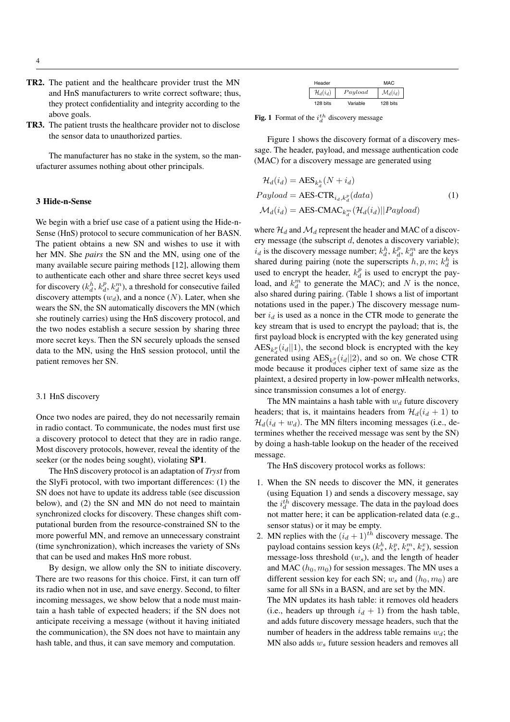- TR2. The patient and the healthcare provider trust the MN and HnS manufacturers to write correct software; thus, they protect confidentiality and integrity according to the above goals.
- TR3. The patient trusts the healthcare provider not to disclose the sensor data to unauthorized parties.

The manufacturer has no stake in the system, so the manufacturer assumes nothing about other principals.

## 3 Hide-n-Sense

We begin with a brief use case of a patient using the Hide-n-Sense (HnS) protocol to secure communication of her BASN. The patient obtains a new SN and wishes to use it with her MN. She *pairs* the SN and the MN, using one of the many available secure pairing methods [\[12\]](#page-12-9), allowing them to authenticate each other and share three secret keys used for discovery  $(k_d^h, k_d^p, k_d^m)$ , a threshold for consecutive failed discovery attempts  $(w_d)$ , and a nonce  $(N)$ . Later, when she wears the SN, the SN automatically discovers the MN (which she routinely carries) using the HnS discovery protocol, and the two nodes establish a secure session by sharing three more secret keys. Then the SN securely uploads the sensed data to the MN, using the HnS session protocol, until the patient removes her SN.

#### 3.1 HnS discovery

Once two nodes are paired, they do not necessarily remain in radio contact. To communicate, the nodes must first use a discovery protocol to detect that they are in radio range. Most discovery protocols, however, reveal the identity of the seeker (or the nodes being sought), violating **[SP1](#page-2-0)**.

The HnS discovery protocol is an adaptation of *Tryst* from the SlyFi protocol, with two important differences: (1) the SN does not have to update its address table (see discussion below), and (2) the SN and MN do not need to maintain synchronized clocks for discovery. These changes shift computational burden from the resource-constrained SN to the more powerful MN, and remove an unnecessary constraint (time synchronization), which increases the variety of SNs that can be used and makes HnS more robust.

By design, we allow only the SN to initiate discovery. There are two reasons for this choice. First, it can turn off its radio when not in use, and save energy. Second, to filter incoming messages, we show below that a node must maintain a hash table of expected headers; if the SN does not anticipate receiving a message (without it having initiated the communication), the SN does not have to maintain any hash table, and thus, it can save memory and computation.

<span id="page-3-1"></span>

| Header               |          | MAC.                 |
|----------------------|----------|----------------------|
| $\mathcal{H}_d(i_d)$ | Payload  | $\mathcal{M}_d(i_d)$ |
| 128 bits             | Variable | 128 bits             |

<span id="page-3-0"></span>**Fig. 1** Format of the  $i_d^{th}$  discovery message

Figure [1](#page-3-0) shows the discovery format of a discovery message. The header, payload, and message authentication code (MAC) for a discovery message are generated using

$$
\mathcal{H}_d(i_d) = \text{AES}_{k_d} (N + i_d)
$$
  
\n
$$
Payload = \text{AES-CTR}_{i_d, k_d} (data)
$$
 (1)  
\n
$$
\mathcal{M}_d(i_d) = \text{AES-CMAC}_{k_d} (\mathcal{H}_d(i_d) || Payload)
$$

where  $\mathcal{H}_d$  and  $\mathcal{M}_d$  represent the header and MAC of a discovery message (the subscript  $d$ , denotes a discovery variable);  $i_d$  is the discovery message number;  $k_d^h$ ,  $k_d^p$ ,  $k_d^m$  are the keys shared during pairing (note the superscripts  $h, p, m; k_d^h$  is used to encrypt the header,  $k_d^p$  is used to encrypt the payload, and  $k_d^m$  to generate the MAC); and N is the nonce, also shared during pairing. (Table [1](#page-4-0) shows a list of important notations used in the paper.) The discovery message number  $i_d$  is used as a nonce in the CTR mode to generate the key stream that is used to encrypt the payload; that is, the first payload block is encrypted with the key generated using  $\text{AES}_{k_d}^{\{v\}}(i_d||1)$ , the second block is encrypted with the key generated using  $\text{AES}_{k_d}^{\{p\}}(i_d||2)$ , and so on. We chose CTR mode because it produces cipher text of same size as the plaintext, a desired property in low-power mHealth networks, since transmission consumes a lot of energy.

The MN maintains a hash table with  $w_d$  future discovery headers; that is, it maintains headers from  $\mathcal{H}_d(i_d + 1)$  to  $\mathcal{H}_d(i_d + w_d)$ . The MN filters incoming messages (i.e., determines whether the received message was sent by the SN) by doing a hash-table lookup on the header of the received message.

The HnS discovery protocol works as follows:

- 1. When the SN needs to discover the MN, it generates (using Equation [1\)](#page-3-1) and sends a discovery message, say the  $i_d^{th}$  discovery message. The data in the payload does not matter here; it can be application-related data (e.g., sensor status) or it may be empty.
- 2. MN replies with the  $(i_d + 1)^{th}$  discovery message. The payload contains session keys ( $k_s^h$ ,  $k_s^p$ ,  $k_s^m$ ,  $k_s^x$ ), session message-loss threshold  $(w_s)$ , and the length of header and MAC  $(h_0, m_0)$  for session messages. The MN uses a different session key for each SN;  $w_s$  and  $(h_0, m_0)$  are same for all SNs in a BASN, and are set by the MN. The MN updates its hash table: it removes old headers (i.e., headers up through  $i_d + 1$ ) from the hash table, and adds future discovery message headers, such that the number of headers in the address table remains  $w_d$ ; the  $MN$  also adds  $w_s$  future session headers and removes all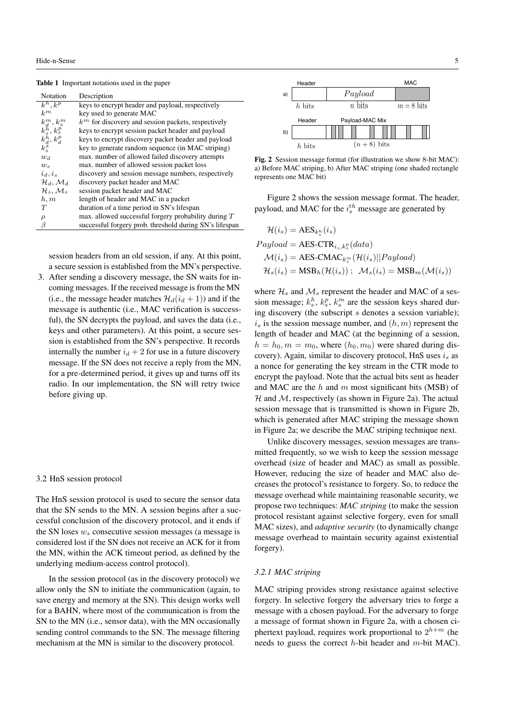<span id="page-4-0"></span>Table 1 Important notations used in the paper

| Notation                                | Description                                             |
|-----------------------------------------|---------------------------------------------------------|
| $\overline{k^h,k^p}$                    | keys to encrypt header and payload, respectively        |
| $k^m$                                   | key used to generate MAC                                |
|                                         | $km$ for discovery and session packets, respectively    |
| $\substack{k_d^m, k_s^m\\k_s^h, k_s^p}$ | keys to encrypt session packet header and payload       |
| $k_d^h, k_d^p$                          | keys to encrypt discovery packet header and payload     |
| $k_s^{\tilde{x}}$                       | key to generate random sequence (in MAC striping)       |
| $w_d$                                   | max, number of allowed failed discovery attempts        |
| $w_{s}$                                 | max, number of allowed session packet loss              |
| $i_d, i_s$                              | discovery and session message numbers, respectively     |
| $\mathcal{H}_d$ , $\mathcal{M}_d$       | discovery packet header and MAC                         |
| $\mathcal{H}_s, \mathcal{M}_s$          | session packet header and MAC                           |
| h, m                                    | length of header and MAC in a packet                    |
| T                                       | duration of a time period in SN's lifespan              |
| $\rho$                                  | max. allowed successful forgery probability during $T$  |
| β                                       | successful forgery prob. threshold during SN's lifespan |

session headers from an old session, if any. At this point, a secure session is established from the MN's perspective.

3. After sending a discovery message, the SN waits for incoming messages. If the received message is from the MN (i.e., the message header matches  $\mathcal{H}_d(i_d + 1)$ ) and if the message is authentic (i.e., MAC verification is successful), the SN decrypts the payload, and saves the data (i.e., keys and other parameters). At this point, a secure session is established from the SN's perspective. It records internally the number  $i_d + 2$  for use in a future discovery message. If the SN does not receive a reply from the MN, for a pre-determined period, it gives up and turns off its radio. In our implementation, the SN will retry twice before giving up.

# 3.2 HnS session protocol

The HnS session protocol is used to secure the sensor data that the SN sends to the MN. A session begins after a successful conclusion of the discovery protocol, and it ends if the SN loses  $w_s$  consecutive session messages (a message is considered lost if the SN does not receive an ACK for it from the MN, within the ACK timeout period, as defined by the underlying medium-access control protocol).

In the session protocol (as in the discovery protocol) we allow only the SN to initiate the communication (again, to save energy and memory at the SN). This design works well for a BAHN, where most of the communication is from the SN to the MN (i.e., sensor data), with the MN occasionally sending control commands to the SN. The message filtering mechanism at the MN is similar to the discovery protocol.



<span id="page-4-1"></span>Fig. 2 Session message format (for illustration we show 8-bit MAC): a) Before MAC striping, b) After MAC striping (one shaded rectangle represents one MAC bit)

Figure [2](#page-4-1) shows the session message format. The header, payload, and MAC for the  $i_s^{th}$  message are generated by

$$
\mathcal{H}(i_s) = \text{AES}_{k_s^h}(i_s)
$$
  
\n
$$
Payload = \text{AES-CTR}_{i_s, k_s^p}(data)
$$
  
\n
$$
\mathcal{M}(i_s) = \text{AES-CMAC}_{k_s^m}(\mathcal{H}(i_s)||Payload)
$$
  
\n
$$
\mathcal{H}_s(i_s) = \text{MSB}_h(\mathcal{H}(i_s)); \quad \mathcal{M}_s(i_s) = \text{MSB}_m(\mathcal{M}(i_s))
$$

where  $\mathcal{H}_s$  and  $\mathcal{M}_s$  represent the header and MAC of a session message;  $k_s^h$ ,  $k_s^p$ ,  $k_s^m$  are the session keys shared during discovery (the subscript s denotes a session variable);  $i<sub>s</sub>$  is the session message number, and  $(h, m)$  represent the length of header and MAC (at the beginning of a session,  $h = h_0, m = m_0$ , where  $(h_0, m_0)$  were shared during discovery). Again, similar to discovery protocol, HnS uses  $i_s$  as a nonce for generating the key stream in the CTR mode to encrypt the payload. Note that the actual bits sent as header and MAC are the  $h$  and  $m$  most significant bits (MSB) of  $H$  and  $M$ , respectively (as shown in Figure [2a](#page-4-1)). The actual session message that is transmitted is shown in Figure [2b](#page-4-1), which is generated after MAC striping the message shown in Figure [2a](#page-4-1); we describe the MAC striping technique next.

Unlike discovery messages, session messages are transmitted frequently, so we wish to keep the session message overhead (size of header and MAC) as small as possible. However, reducing the size of header and MAC also decreases the protocol's resistance to forgery. So, to reduce the message overhead while maintaining reasonable security, we propose two techniques: *MAC striping* (to make the session protocol resistant against selective forgery, even for small MAC sizes), and *adaptive security* (to dynamically change message overhead to maintain security against existential forgery).

#### *3.2.1 MAC striping*

MAC striping provides strong resistance against selective forgery. In selective forgery the adversary tries to forge a message with a chosen payload. For the adversary to forge a message of format shown in Figure [2a](#page-4-1), with a chosen ciphertext payload, requires work proportional to  $2^{h+m}$  (he needs to guess the correct h-bit header and m-bit MAC).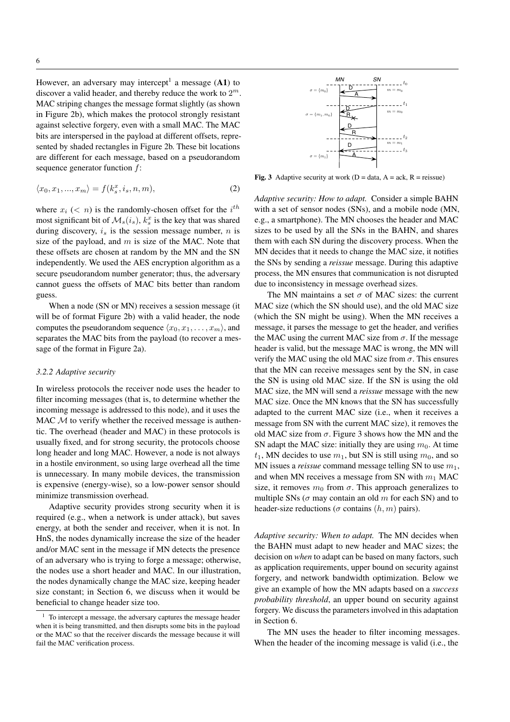However, an adversary may intercept<sup>[1](#page-5-0)</sup> a message  $(A1)$  $(A1)$  $(A1)$  to discover a valid header, and thereby reduce the work to  $2^m$ . MAC striping changes the message format slightly (as shown in Figure [2b](#page-4-1)), which makes the protocol strongly resistant against selective forgery, even with a small MAC. The MAC bits are interspersed in the payload at different offsets, represented by shaded rectangles in Figure [2b](#page-4-1). These bit locations are different for each message, based on a pseudorandom sequence generator function f:

<span id="page-5-2"></span>
$$
\langle x_0, x_1, \dots, x_m \rangle = f(k_s^x, i_s, n, m), \tag{2}
$$

where  $x_i \, \left( \leq n \right)$  is the randomly-chosen offset for the  $i^{th}$ most significant bit of  $\mathcal{M}_s(i_s)$ ,  $k_s^x$  is the key that was shared during discovery,  $i_s$  is the session message number, n is size of the payload, and  $m$  is size of the MAC. Note that these offsets are chosen at random by the MN and the SN independently. We used the AES encryption algorithm as a secure pseudorandom number generator; thus, the adversary cannot guess the offsets of MAC bits better than random guess.

When a node (SN or MN) receives a session message (it will be of format Figure [2b](#page-4-1)) with a valid header, the node computes the pseudorandom sequence  $\langle x_0, x_1, \ldots, x_m \rangle$ , and separates the MAC bits from the payload (to recover a message of the format in Figure [2a](#page-4-1)).

#### <span id="page-5-3"></span>*3.2.2 Adaptive security*

In wireless protocols the receiver node uses the header to filter incoming messages (that is, to determine whether the incoming message is addressed to this node), and it uses the  $MAC \mathcal{M}$  to verify whether the received message is authentic. The overhead (header and MAC) in these protocols is usually fixed, and for strong security, the protocols choose long header and long MAC. However, a node is not always in a hostile environment, so using large overhead all the time is unnecessary. In many mobile devices, the transmission is expensive (energy-wise), so a low-power sensor should minimize transmission overhead.

Adaptive security provides strong security when it is required (e.g., when a network is under attack), but saves energy, at both the sender and receiver, when it is not. In HnS, the nodes dynamically increase the size of the header and/or MAC sent in the message if MN detects the presence of an adversary who is trying to forge a message; otherwise, the nodes use a short header and MAC. In our illustration, the nodes dynamically change the MAC size, keeping header size constant; in Section [6,](#page-10-0) we discuss when it would be beneficial to change header size too.



<span id="page-5-1"></span>Fig. 3 Adaptive security at work ( $D = data$ ,  $A = ack$ ,  $R = reissue$ )

*Adaptive security: How to adapt.* Consider a simple BAHN with a set of sensor nodes (SNs), and a mobile node (MN, e.g., a smartphone). The MN chooses the header and MAC sizes to be used by all the SNs in the BAHN, and shares them with each SN during the discovery process. When the MN decides that it needs to change the MAC size, it notifies the SNs by sending a *reissue* message. During this adaptive process, the MN ensures that communication is not disrupted due to inconsistency in message overhead sizes.

The MN maintains a set  $\sigma$  of MAC sizes: the current MAC size (which the SN should use), and the old MAC size (which the SN might be using). When the MN receives a message, it parses the message to get the header, and verifies the MAC using the current MAC size from  $\sigma$ . If the message header is valid, but the message MAC is wrong, the MN will verify the MAC using the old MAC size from  $\sigma$ . This ensures that the MN can receive messages sent by the SN, in case the SN is using old MAC size. If the SN is using the old MAC size, the MN will send a *reissue* message with the new MAC size. Once the MN knows that the SN has successfully adapted to the current MAC size (i.e., when it receives a message from SN with the current MAC size), it removes the old MAC size from  $\sigma$ . Figure [3](#page-5-1) shows how the MN and the SN adapt the MAC size: initially they are using  $m_0$ . At time  $t_1$ , MN decides to use  $m_1$ , but SN is still using  $m_0$ , and so MN issues a *reissue* command message telling SN to use  $m_1$ , and when MN receives a message from SN with  $m_1$  MAC size, it removes  $m_0$  from  $\sigma$ . This approach generalizes to multiple SNs ( $\sigma$  may contain an old m for each SN) and to header-size reductions ( $\sigma$  contains  $(h, m)$  pairs).

*Adaptive security: When to adapt.* The MN decides when the BAHN must adapt to new header and MAC sizes; the decision on *when* to adapt can be based on many factors, such as application requirements, upper bound on security against forgery, and network bandwidth optimization. Below we give an example of how the MN adapts based on a *success probability threshold*, an upper bound on security against forgery. We discuss the parameters involved in this adaptation in Section [6.](#page-10-1)

The MN uses the header to filter incoming messages. When the header of the incoming message is valid (i.e., the

<span id="page-5-0"></span><sup>&</sup>lt;sup>1</sup> To intercept a message, the adversary captures the message header when it is being transmitted, and then disrupts some bits in the payload or the MAC so that the receiver discards the message because it will fail the MAC verification process.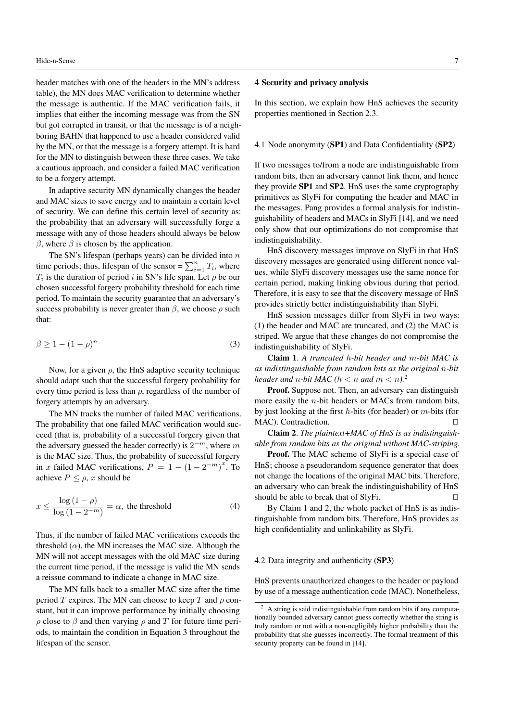header matches with one of the headers in the MN's address table), the MN does MAC verification to determine whether the message is authentic. If the MAC verification fails, it implies that either the incoming message was from the SN but got corrupted in transit, or that the message is of a neighboring BAHN that happened to use a header considered valid by the MN, or that the message is a forgery attempt. It is hard for the MN to distinguish between these three cases. We take a cautious approach, and consider a failed MAC verification to be a forgery attempt.

In adaptive security MN dynamically changes the header and MAC sizes to save energy and to maintain a certain level of security. We can define this certain level of security as: the probability that an adversary will successfully forge a message with any of those headers should always be below  $\beta$ , where  $\beta$  is chosen by the application.

The SN's lifespan (perhaps years) can be divided into  $n$ time periods; thus, lifespan of the sensor =  $\sum_{i=1}^{n} T_i$ , where  $T_i$  is the duration of period i in SN's life span. Let  $\rho$  be our chosen successful forgery probability threshold for each time period. To maintain the security guarantee that an adversary's success probability is never greater than  $\beta$ , we choose  $\rho$  such that:

<span id="page-6-1"></span>
$$
\beta \ge 1 - (1 - \rho)^n \tag{3}
$$

Now, for a given  $\rho$ , the HnS adaptive security technique should adapt such that the successful forgery probability for every time period is less than  $\rho$ , regardless of the number of forgery attempts by an adversary.

The MN tracks the number of failed MAC verifications. The probability that one failed MAC verification would succeed (that is, probability of a successful forgery given that the adversary guessed the header correctly) is  $2^{-m}$ , where m is the MAC size. Thus, the probability of successful forgery in x failed MAC verifications,  $P = 1 - (1 - 2^{-m})^x$ . To achieve  $P \leq \rho$ , x should be

<span id="page-6-3"></span>
$$
x \le \frac{\log\left(1 - \rho\right)}{\log\left(1 - 2^{-m}\right)} = \alpha, \text{ the threshold} \tag{4}
$$

Thus, if the number of failed MAC verifications exceeds the threshold  $(\alpha)$ , the MN increases the MAC size. Although the MN will not accept messages with the old MAC size during the current time period, if the message is valid the MN sends a reissue command to indicate a change in MAC size.

The MN falls back to a smaller MAC size after the time period T expires. The MN can choose to keep T and  $\rho$  constant, but it can improve performance by initially choosing ρ close to β and then varying ρ and T for future time periods, to maintain the condition in Equation [3](#page-6-1) throughout the lifespan of the sensor.

## <span id="page-6-0"></span>4 Security and privacy analysis

In this section, we explain how HnS achieves the security properties mentioned in Section [2.3.](#page-2-4)

## 4.1 Node anonymity ([SP1](#page-2-0)) and Data Confidentiality ([SP2](#page-2-5))

If two messages to/from a node are indistinguishable from random bits, then an adversary cannot link them, and hence they provide [SP1](#page-2-0) and [SP2](#page-2-5). HnS uses the same cryptography primitives as SlyFi for computing the header and MAC in the messages. Pang provides a formal analysis for indistinguishability of headers and MACs in SlyFi [\[14\]](#page-12-13), and we need only show that our optimizations do not compromise that indistinguishability.

HnS discovery messages improve on SlyFi in that HnS discovery messages are generated using different nonce values, while SlyFi discovery messages use the same nonce for certain period, making linking obvious during that period. Therefore, it is easy to see that the discovery message of HnS provides strictly better indistinguishability than SlyFi.

HnS session messages differ from SlyFi in two ways: (1) the header and MAC are truncated, and (2) the MAC is striped. We argue that these changes do not compromise the indistinguishability of SlyFi.

Claim 1. *A truncated* h*-bit header and* m*-bit MAC is as indistinguishable from random bits as the original* n*-bit header and n-bit MAC (* $h < n$  *and*  $m < n$ ).<sup>[2](#page-6-2)</sup>

Proof. Suppose not. Then, an adversary can distinguish more easily the *n*-bit headers or MACs from random bits, by just looking at the first  $h$ -bits (for header) or  $m$ -bits (for  $MAC$ ). Contradiction.

Claim 2. *The plaintext+MAC of HnS is as indistinguishable from random bits as the original without MAC-striping.*

Proof. The MAC scheme of SlyFi is a special case of HnS; choose a pseudorandom sequence generator that does not change the locations of the original MAC bits. Therefore, an adversary who can break the indistinguishability of HnS should be able to break that of SlyFi.  $\Box$ 

By Claim 1 and 2, the whole packet of HnS is as indistinguishable from random bits. Therefore, HnS provides as high confidentiality and unlinkability as SlyFi.

## 4.2 Data integrity and authenticity ([SP3](#page-2-6))

HnS prevents unauthorized changes to the header or payload by use of a message authentication code (MAC). Nonetheless,

<span id="page-6-2"></span><sup>&</sup>lt;sup>2</sup> A string is said indistinguishable from random bits if any computationally bounded adversary cannot guess correctly whether the string is truly random or not with a non-negligibly higher probability than the probability that she guesses incorrectly. The formal treatment of this security property can be found in [\[14\]](#page-12-13).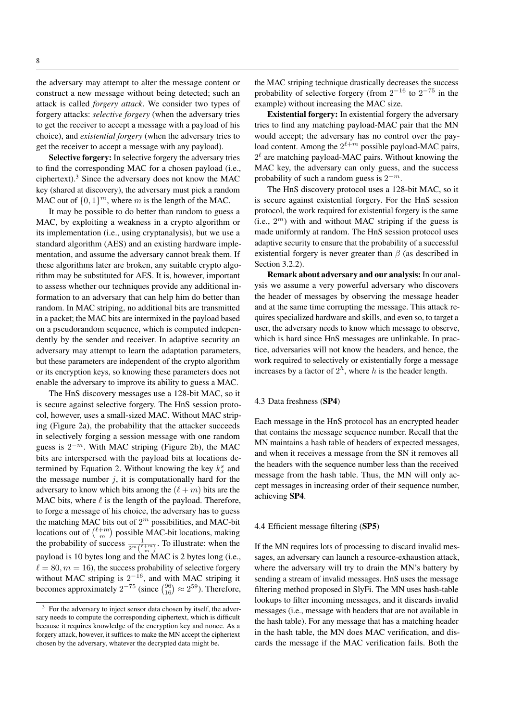the adversary may attempt to alter the message content or construct a new message without being detected; such an attack is called *forgery attack*. We consider two types of forgery attacks: *selective forgery* (when the adversary tries to get the receiver to accept a message with a payload of his choice), and *existential forgery* (when the adversary tries to get the receiver to accept a message with any payload).

Selective forgery: In selective forgery the adversary tries to find the corresponding MAC for a chosen payload (i.e., ciphertext).[3](#page-7-0) Since the adversary does not know the MAC key (shared at discovery), the adversary must pick a random MAC out of  $\{0, 1\}^m$ , where m is the length of the MAC.

It may be possible to do better than random to guess a MAC, by exploiting a weakness in a crypto algorithm or its implementation (i.e., using cryptanalysis), but we use a standard algorithm (AES) and an existing hardware implementation, and assume the adversary cannot break them. If these algorithms later are broken, any suitable crypto algorithm may be substituted for AES. It is, however, important to assess whether our techniques provide any additional information to an adversary that can help him do better than random. In MAC striping, no additional bits are transmitted in a packet; the MAC bits are intermixed in the payload based on a pseudorandom sequence, which is computed independently by the sender and receiver. In adaptive security an adversary may attempt to learn the adaptation parameters, but these parameters are independent of the crypto algorithm or its encryption keys, so knowing these parameters does not enable the adversary to improve its ability to guess a MAC.

The HnS discovery messages use a 128-bit MAC, so it is secure against selective forgery. The HnS session protocol, however, uses a small-sized MAC. Without MAC striping (Figure [2a](#page-4-1)), the probability that the attacker succeeds in selectively forging a session message with one random guess is  $2^{-m}$ . With MAC striping (Figure [2b](#page-4-1)), the MAC bits are interspersed with the payload bits at locations de-termined by Equation [2.](#page-5-2) Without knowing the key  $k_x^s$  and the message number  $j$ , it is computationally hard for the adversary to know which bits among the  $(\ell + m)$  bits are the MAC bits, where  $\ell$  is the length of the payload. Therefore, to forge a message of his choice, the adversary has to guess the matching MAC bits out of  $2<sup>m</sup>$  possibilities, and MAC-bit locations out of  $\binom{\ell+m}{m}$  possible MAC-bit locations, making the probability of success  $\frac{1}{2^m {\binom{\ell+m}{m}}}$ . To illustrate: when the payload is 10 bytes long and the MAC is 2 bytes long (i.e.,  $\ell = 80, m = 16$ , the success probability of selective forgery without MAC striping is  $2^{-16}$ , and with MAC striping it becomes approximately  $2^{-75}$  (since  $\binom{96}{16} \approx 2^{59}$ ). Therefore,

the MAC striping technique drastically decreases the success probability of selective forgery (from  $2^{-16}$  to  $2^{-75}$  in the example) without increasing the MAC size.

Existential forgery: In existential forgery the adversary tries to find any matching payload-MAC pair that the MN would accept; the adversary has no control over the payload content. Among the  $2^{\ell+m}$  possible payload-MAC pairs,  $2^{\ell}$  are matching payload-MAC pairs. Without knowing the MAC key, the adversary can only guess, and the success probability of such a random guess is  $2^{-m}$ .

The HnS discovery protocol uses a 128-bit MAC, so it is secure against existential forgery. For the HnS session protocol, the work required for existential forgery is the same  $(i.e., 2<sup>m</sup>)$  with and without MAC striping if the guess is made uniformly at random. The HnS session protocol uses adaptive security to ensure that the probability of a successful existential forgery is never greater than  $\beta$  (as described in Section [3.2.2\)](#page-5-3).

Remark about adversary and our analysis: In our analysis we assume a very powerful adversary who discovers the header of messages by observing the message header and at the same time corrupting the message. This attack requires specialized hardware and skills, and even so, to target a user, the adversary needs to know which message to observe, which is hard since HnS messages are unlinkable. In practice, adversaries will not know the headers, and hence, the work required to selectively or existentially forge a message increases by a factor of  $2^h$ , where h is the header length.

#### 4.3 Data freshness ([SP4](#page-2-7))

Each message in the HnS protocol has an encrypted header that contains the message sequence number. Recall that the MN maintains a hash table of headers of expected messages, and when it receives a message from the SN it removes all the headers with the sequence number less than the received message from the hash table. Thus, the MN will only accept messages in increasing order of their sequence number, achieving [SP4](#page-2-7).

#### 4.4 Efficient message filtering ([SP5](#page-2-8))

If the MN requires lots of processing to discard invalid messages, an adversary can launch a resource-exhaustion attack, where the adversary will try to drain the MN's battery by sending a stream of invalid messages. HnS uses the message filtering method proposed in SlyFi. The MN uses hash-table lookups to filter incoming messages, and it discards invalid messages (i.e., message with headers that are not available in the hash table). For any message that has a matching header in the hash table, the MN does MAC verification, and discards the message if the MAC verification fails. Both the

<span id="page-7-0"></span> $3$  For the adversary to inject sensor data chosen by itself, the adversary needs to compute the corresponding ciphertext, which is difficult because it requires knowledge of the encryption key and nonce. As a forgery attack, however, it suffices to make the MN accept the ciphertext chosen by the adversary, whatever the decrypted data might be.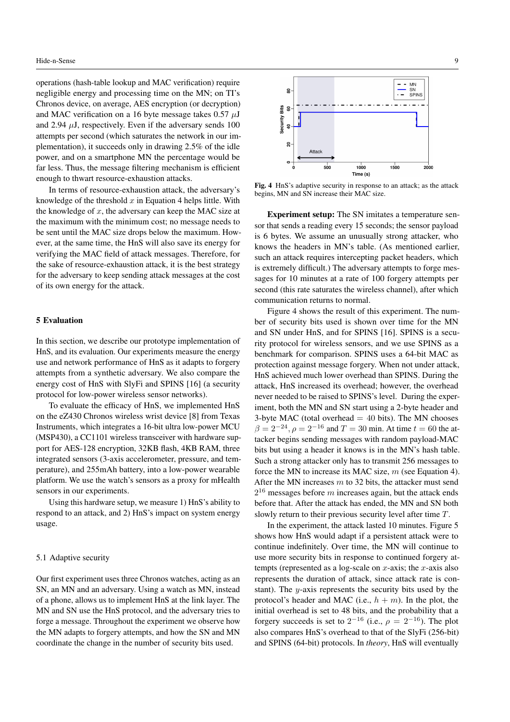operations (hash-table lookup and MAC verification) require negligible energy and processing time on the MN; on TI's Chronos device, on average, AES encryption (or decryption) and MAC verification on a 16 byte message takes  $0.57 \mu J$ and 2.94  $\mu$ J, respectively. Even if the adversary sends 100 attempts per second (which saturates the network in our implementation), it succeeds only in drawing 2.5% of the idle power, and on a smartphone MN the percentage would be far less. Thus, the message filtering mechanism is efficient enough to thwart resource-exhaustion attacks.

In terms of resource-exhaustion attack, the adversary's knowledge of the threshold  $x$  in Equation [4](#page-6-3) helps little. With the knowledge of  $x$ , the adversary can keep the MAC size at the maximum with the minimum cost; no message needs to be sent until the MAC size drops below the maximum. However, at the same time, the HnS will also save its energy for verifying the MAC field of attack messages. Therefore, for the sake of resource-exhaustion attack, it is the best strategy for the adversary to keep sending attack messages at the cost of its own energy for the attack.

#### 5 Evaluation

In this section, we describe our prototype implementation of HnS, and its evaluation. Our experiments measure the energy use and network performance of HnS as it adapts to forgery attempts from a synthetic adversary. We also compare the energy cost of HnS with SlyFi and SPINS [\[16\]](#page-12-14) (a security protocol for low-power wireless sensor networks).

To evaluate the efficacy of HnS, we implemented HnS on the eZ430 Chronos wireless wrist device [\[8\]](#page-12-15) from Texas Instruments, which integrates a 16-bit ultra low-power MCU (MSP430), a CC1101 wireless transceiver with hardware support for AES-128 encryption, 32KB flash, 4KB RAM, three integrated sensors (3-axis accelerometer, pressure, and temperature), and 255mAh battery, into a low-power wearable platform. We use the watch's sensors as a proxy for mHealth sensors in our experiments.

Using this hardware setup, we measure 1) HnS's ability to respond to an attack, and 2) HnS's impact on system energy usage.

### 5.1 Adaptive security

Our first experiment uses three Chronos watches, acting as an SN, an MN and an adversary. Using a watch as MN, instead of a phone, allows us to implement HnS at the link layer. The MN and SN use the HnS protocol, and the adversary tries to forge a message. Throughout the experiment we observe how the MN adapts to forgery attempts, and how the SN and MN coordinate the change in the number of security bits used.



<span id="page-8-0"></span>Fig. 4 HnS's adaptive security in response to an attack; as the attack begins, MN and SN increase their MAC size.

Experiment setup: The SN imitates a temperature sensor that sends a reading every 15 seconds; the sensor payload is 6 bytes. We assume an unusually strong attacker, who knows the headers in MN's table. (As mentioned earlier, such an attack requires intercepting packet headers, which is extremely difficult.) The adversary attempts to forge messages for 10 minutes at a rate of 100 forgery attempts per second (this rate saturates the wireless channel), after which communication returns to normal.

Figure [4](#page-8-0) shows the result of this experiment. The number of security bits used is shown over time for the MN and SN under HnS, and for SPINS [\[16\]](#page-12-14). SPINS is a security protocol for wireless sensors, and we use SPINS as a benchmark for comparison. SPINS uses a 64-bit MAC as protection against message forgery. When not under attack, HnS achieved much lower overhead than SPINS. During the attack, HnS increased its overhead; however, the overhead never needed to be raised to SPINS's level. During the experiment, both the MN and SN start using a 2-byte header and 3-byte MAC (total overhead  $= 40$  bits). The MN chooses  $\beta = 2^{-24}$ ,  $\rho = 2^{-16}$  and  $T = 30$  min. At time  $t = 60$  the attacker begins sending messages with random payload-MAC bits but using a header it knows is in the MN's hash table. Such a strong attacker only has to transmit 256 messages to force the MN to increase its MAC size, m (see Equation [4\)](#page-6-3). After the MN increases  $m$  to 32 bits, the attacker must send  $2^{16}$  messages before m increases again, but the attack ends before that. After the attack has ended, the MN and SN both slowly return to their previous security level after time T.

In the experiment, the attack lasted 10 minutes. Figure [5](#page-9-0) shows how HnS would adapt if a persistent attack were to continue indefinitely. Over time, the MN will continue to use more security bits in response to continued forgery attempts (represented as a log-scale on  $x$ -axis; the  $x$ -axis also represents the duration of attack, since attack rate is constant). The  $y$ -axis represents the security bits used by the protocol's header and MAC (i.e.,  $h + m$ ). In the plot, the initial overhead is set to 48 bits, and the probability that a forgery succeeds is set to  $2^{-16}$  (i.e.,  $\rho = 2^{-16}$ ). The plot also compares HnS's overhead to that of the SlyFi (256-bit) and SPINS (64-bit) protocols. In *theory*, HnS will eventually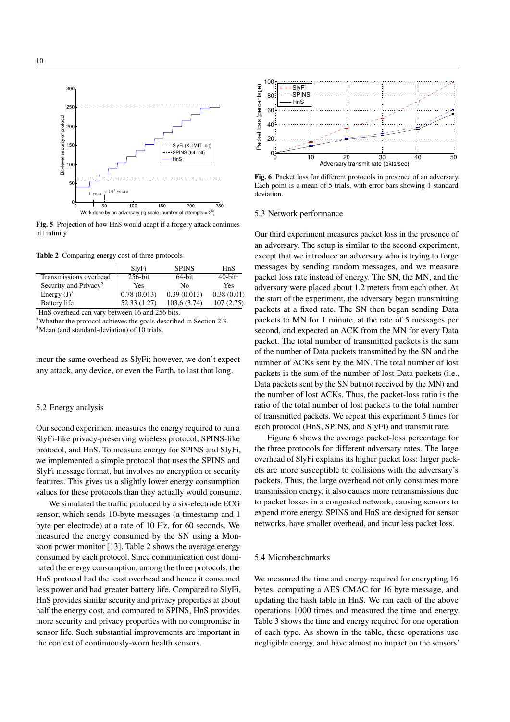

<span id="page-9-0"></span>Fig. 5 Projection of how HnS would adapt if a forgery attack continues till infinity

<span id="page-9-1"></span>Table 2 Comparing energy cost of three protocols

|                                   | SlvFi        | <b>SPINS</b> | HnS                    |  |
|-----------------------------------|--------------|--------------|------------------------|--|
| Transmissions overhead            | $256$ -bit   | 64-bit       | $40$ -bit <sup>1</sup> |  |
| Security and Privacy <sup>2</sup> | Yes          | Nο           | Yes                    |  |
| Energy $(J)^3$                    | 0.78(0.013)  | 0.39(0.013)  | 0.38(0.01)             |  |
| Battery life                      | 52.33 (1.27) | 103.6(3.74)  | 107(2.75)              |  |
| $1 -  \sim$ $\sim$<br>.           |              |              |                        |  |

<sup>1</sup>HnS overhead can vary between 16 and 256 bits.

<sup>2</sup>Whether the protocol achieves the goals described in Section [2.3.](#page-2-4)

<sup>3</sup>Mean (and standard-deviation) of 10 trials.

incur the same overhead as SlyFi; however, we don't expect any attack, any device, or even the Earth, to last that long.

# <span id="page-9-3"></span>5.2 Energy analysis

Our second experiment measures the energy required to run a SlyFi-like privacy-preserving wireless protocol, SPINS-like protocol, and HnS. To measure energy for SPINS and SlyFi, we implemented a simple protocol that uses the SPINS and SlyFi message format, but involves no encryption or security features. This gives us a slightly lower energy consumption values for these protocols than they actually would consume.

We simulated the traffic produced by a six-electrode ECG sensor, which sends 10-byte messages (a timestamp and 1 byte per electrode) at a rate of 10 Hz, for 60 seconds. We measured the energy consumed by the SN using a Monsoon power monitor [\[13\]](#page-12-16). Table [2](#page-9-1) shows the average energy consumed by each protocol. Since communication cost dominated the energy consumption, among the three protocols, the HnS protocol had the least overhead and hence it consumed less power and had greater battery life. Compared to SlyFi, HnS provides similar security and privacy properties at about half the energy cost, and compared to SPINS, HnS provides more security and privacy properties with no compromise in sensor life. Such substantial improvements are important in the context of continuously-worn health sensors.



<span id="page-9-2"></span>Fig. 6 Packet loss for different protocols in presence of an adversary. Each point is a mean of 5 trials, with error bars showing 1 standard deviation.

#### 5.3 Network performance

Our third experiment measures packet loss in the presence of an adversary. The setup is similar to the second experiment, except that we introduce an adversary who is trying to forge messages by sending random messages, and we measure packet loss rate instead of energy. The SN, the MN, and the adversary were placed about 1.2 meters from each other. At the start of the experiment, the adversary began transmitting packets at a fixed rate. The SN then began sending Data packets to MN for 1 minute, at the rate of 5 messages per second, and expected an ACK from the MN for every Data packet. The total number of transmitted packets is the sum of the number of Data packets transmitted by the SN and the number of ACKs sent by the MN. The total number of lost packets is the sum of the number of lost Data packets (i.e., Data packets sent by the SN but not received by the MN) and the number of lost ACKs. Thus, the packet-loss ratio is the ratio of the total number of lost packets to the total number of transmitted packets. We repeat this experiment 5 times for each protocol (HnS, SPINS, and SlyFi) and transmit rate.

Figure [6](#page-9-2) shows the average packet-loss percentage for the three protocols for different adversary rates. The large overhead of SlyFi explains its higher packet loss: larger packets are more susceptible to collisions with the adversary's packets. Thus, the large overhead not only consumes more transmission energy, it also causes more retransmissions due to packet losses in a congested network, causing sensors to expend more energy. SPINS and HnS are designed for sensor networks, have smaller overhead, and incur less packet loss.

### 5.4 Microbenchmarks

We measured the time and energy required for encrypting 16 bytes, computing a AES CMAC for 16 byte message, and updating the hash table in HnS. We ran each of the above operations 1000 times and measured the time and energy. Table [3](#page-10-2) shows the time and energy required for one operation of each type. As shown in the table, these operations use negligible energy, and have almost no impact on the sensors'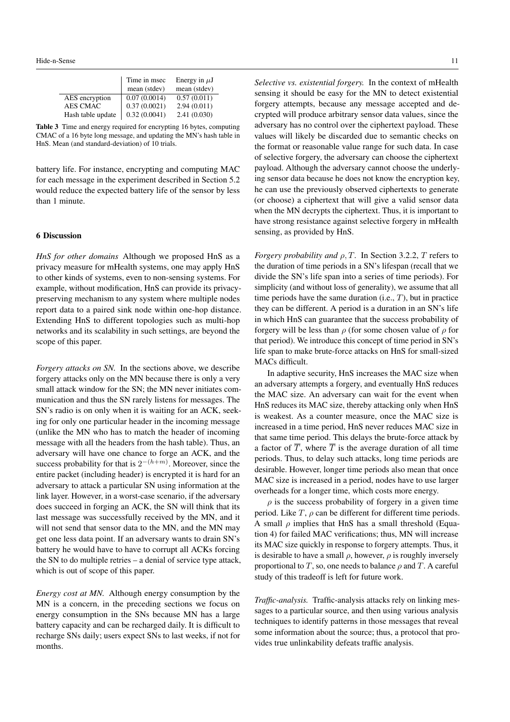|                   | Time in msec | Energy in $\mu$ J |
|-------------------|--------------|-------------------|
|                   | mean (stdev) | mean (stdev)      |
| AES encryption    | 0.07(0.0014) | 0.57(0.011)       |
| <b>AES CMAC</b>   | 0.37(0.0021) | 2.94(0.011)       |
| Hash table update | 0.32(0.0041) | 2.41(0.030)       |

<span id="page-10-2"></span>Table 3 Time and energy required for encrypting 16 bytes, computing CMAC of a 16 byte long message, and updating the MN's hash table in HnS. Mean (and standard-deviation) of 10 trials.

battery life. For instance, encrypting and computing MAC for each message in the experiment described in Section [5.2](#page-9-3) would reduce the expected battery life of the sensor by less than 1 minute.

#### <span id="page-10-0"></span>6 Discussion

*HnS for other domains* Although we proposed HnS as a privacy measure for mHealth systems, one may apply HnS to other kinds of systems, even to non-sensing systems. For example, without modification, HnS can provide its privacypreserving mechanism to any system where multiple nodes report data to a paired sink node within one-hop distance. Extending HnS to different topologies such as multi-hop networks and its scalability in such settings, are beyond the scope of this paper.

*Forgery attacks on SN.* In the sections above, we describe forgery attacks only on the MN because there is only a very small attack window for the SN; the MN never initiates communication and thus the SN rarely listens for messages. The SN's radio is on only when it is waiting for an ACK, seeking for only one particular header in the incoming message (unlike the MN who has to match the header of incoming message with all the headers from the hash table). Thus, an adversary will have one chance to forge an ACK, and the success probability for that is  $2^{-(h+m)}$ . Moreover, since the entire packet (including header) is encrypted it is hard for an adversary to attack a particular SN using information at the link layer. However, in a worst-case scenario, if the adversary does succeed in forging an ACK, the SN will think that its last message was successfully received by the MN, and it will not send that sensor data to the MN, and the MN may get one less data point. If an adversary wants to drain SN's battery he would have to have to corrupt all ACKs forcing the SN to do multiple retries – a denial of service type attack, which is out of scope of this paper.

*Energy cost at MN.* Although energy consumption by the MN is a concern, in the preceding sections we focus on energy consumption in the SNs because MN has a large battery capacity and can be recharged daily. It is difficult to recharge SNs daily; users expect SNs to last weeks, if not for months.

*Selective vs. existential forgery.* In the context of mHealth sensing it should be easy for the MN to detect existential forgery attempts, because any message accepted and decrypted will produce arbitrary sensor data values, since the adversary has no control over the ciphertext payload. These values will likely be discarded due to semantic checks on the format or reasonable value range for such data. In case of selective forgery, the adversary can choose the ciphertext payload. Although the adversary cannot choose the underlying sensor data because he does not know the encryption key, he can use the previously observed ciphertexts to generate (or choose) a ciphertext that will give a valid sensor data when the MN decrypts the ciphertext. Thus, it is important to have strong resistance against selective forgery in mHealth sensing, as provided by HnS.

<span id="page-10-1"></span>*Forgery probability and* ρ, T*.* In Section [3.2.2,](#page-5-3) T refers to the duration of time periods in a SN's lifespan (recall that we divide the SN's life span into a series of time periods). For simplicity (and without loss of generality), we assume that all time periods have the same duration  $(i.e., T)$ , but in practice they can be different. A period is a duration in an SN's life in which HnS can guarantee that the success probability of forgery will be less than  $\rho$  (for some chosen value of  $\rho$  for that period). We introduce this concept of time period in SN's life span to make brute-force attacks on HnS for small-sized MACs difficult.

In adaptive security, HnS increases the MAC size when an adversary attempts a forgery, and eventually HnS reduces the MAC size. An adversary can wait for the event when HnS reduces its MAC size, thereby attacking only when HnS is weakest. As a counter measure, once the MAC size is increased in a time period, HnS never reduces MAC size in that same time period. This delays the brute-force attack by a factor of  $\overline{T}$ , where  $\overline{T}$  is the average duration of all time periods. Thus, to delay such attacks, long time periods are desirable. However, longer time periods also mean that once MAC size is increased in a period, nodes have to use larger overheads for a longer time, which costs more energy.

 $\rho$  is the success probability of forgery in a given time period. Like  $T$ ,  $\rho$  can be different for different time periods. A small  $\rho$  implies that HnS has a small threshold (Equation [4\)](#page-6-3) for failed MAC verifications; thus, MN will increase its MAC size quickly in response to forgery attempts. Thus, it is desirable to have a small  $\rho$ , however,  $\rho$  is roughly inversely proportional to T, so, one needs to balance  $\rho$  and T. A careful study of this tradeoff is left for future work.

*Traffic-analysis.* Traffic-analysis attacks rely on linking messages to a particular source, and then using various analysis techniques to identify patterns in those messages that reveal some information about the source; thus, a protocol that provides true unlinkability defeats traffic analysis.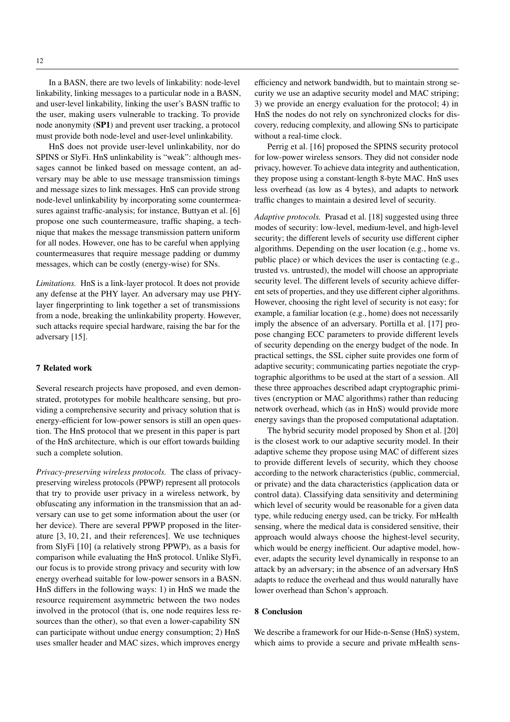In a BASN, there are two levels of linkability: node-level linkability, linking messages to a particular node in a BASN, and user-level linkability, linking the user's BASN traffic to the user, making users vulnerable to tracking. To provide node anonymity ([SP1](#page-2-0)) and prevent user tracking, a protocol must provide both node-level and user-level unlinkability.

HnS does not provide user-level unlinkability, nor do SPINS or SlyFi. HnS unlinkability is "weak": although messages cannot be linked based on message content, an adversary may be able to use message transmission timings and message sizes to link messages. HnS can provide strong node-level unlinkability by incorporating some countermeasures against traffic-analysis; for instance, Buttyan et al. [\[6\]](#page-12-17) propose one such countermeasure, traffic shaping, a technique that makes the message transmission pattern uniform for all nodes. However, one has to be careful when applying countermeasures that require message padding or dummy messages, which can be costly (energy-wise) for SNs.

*Limitations.* HnS is a link-layer protocol. It does not provide any defense at the PHY layer. An adversary may use PHYlayer fingerprinting to link together a set of transmissions from a node, breaking the unlinkability property. However, such attacks require special hardware, raising the bar for the adversary [\[15\]](#page-12-18).

### 7 Related work

Several research projects have proposed, and even demonstrated, prototypes for mobile healthcare sensing, but providing a comprehensive security and privacy solution that is energy-efficient for low-power sensors is still an open question. The HnS protocol that we present in this paper is part of the HnS architecture, which is our effort towards building such a complete solution.

*Privacy-preserving wireless protocols.* The class of privacypreserving wireless protocols (PPWP) represent all protocols that try to provide user privacy in a wireless network, by obfuscating any information in the transmission that an adversary can use to get some information about the user (or her device). There are several PPWP proposed in the literature [\[3,](#page-12-7) [10,](#page-12-8) [21,](#page-12-19) and their references]. We use techniques from SlyFi [\[10\]](#page-12-8) (a relatively strong PPWP), as a basis for comparison while evaluating the HnS protocol. Unlike SlyFi, our focus is to provide strong privacy and security with low energy overhead suitable for low-power sensors in a BASN. HnS differs in the following ways: 1) in HnS we made the resource requirement asymmetric between the two nodes involved in the protocol (that is, one node requires less resources than the other), so that even a lower-capability SN can participate without undue energy consumption; 2) HnS uses smaller header and MAC sizes, which improves energy

efficiency and network bandwidth, but to maintain strong security we use an adaptive security model and MAC striping; 3) we provide an energy evaluation for the protocol; 4) in HnS the nodes do not rely on synchronized clocks for discovery, reducing complexity, and allowing SNs to participate without a real-time clock.

Perrig et al. [\[16\]](#page-12-14) proposed the SPINS security protocol for low-power wireless sensors. They did not consider node privacy, however. To achieve data integrity and authentication, they propose using a constant-length 8-byte MAC. HnS uses less overhead (as low as 4 bytes), and adapts to network traffic changes to maintain a desired level of security.

*Adaptive protocols.* Prasad et al. [\[18\]](#page-12-20) suggested using three modes of security: low-level, medium-level, and high-level security; the different levels of security use different cipher algorithms. Depending on the user location (e.g., home vs. public place) or which devices the user is contacting (e.g., trusted vs. untrusted), the model will choose an appropriate security level. The different levels of security achieve different sets of properties, and they use different cipher algorithms. However, choosing the right level of security is not easy; for example, a familiar location (e.g., home) does not necessarily imply the absence of an adversary. Portilla et al. [\[17\]](#page-12-21) propose changing ECC parameters to provide different levels of security depending on the energy budget of the node. In practical settings, the SSL cipher suite provides one form of adaptive security; communicating parties negotiate the cryptographic algorithms to be used at the start of a session. All these three approaches described adapt cryptographic primitives (encryption or MAC algorithms) rather than reducing network overhead, which (as in HnS) would provide more energy savings than the proposed computational adaptation.

The hybrid security model proposed by Shon et al. [\[20\]](#page-12-22) is the closest work to our adaptive security model. In their adaptive scheme they propose using MAC of different sizes to provide different levels of security, which they choose according to the network characteristics (public, commercial, or private) and the data characteristics (application data or control data). Classifying data sensitivity and determining which level of security would be reasonable for a given data type, while reducing energy used, can be tricky. For mHealth sensing, where the medical data is considered sensitive, their approach would always choose the highest-level security, which would be energy inefficient. Our adaptive model, however, adapts the security level dynamically in response to an attack by an adversary; in the absence of an adversary HnS adapts to reduce the overhead and thus would naturally have lower overhead than Schon's approach.

## 8 Conclusion

We describe a framework for our Hide-n-Sense (HnS) system, which aims to provide a secure and private mHealth sens